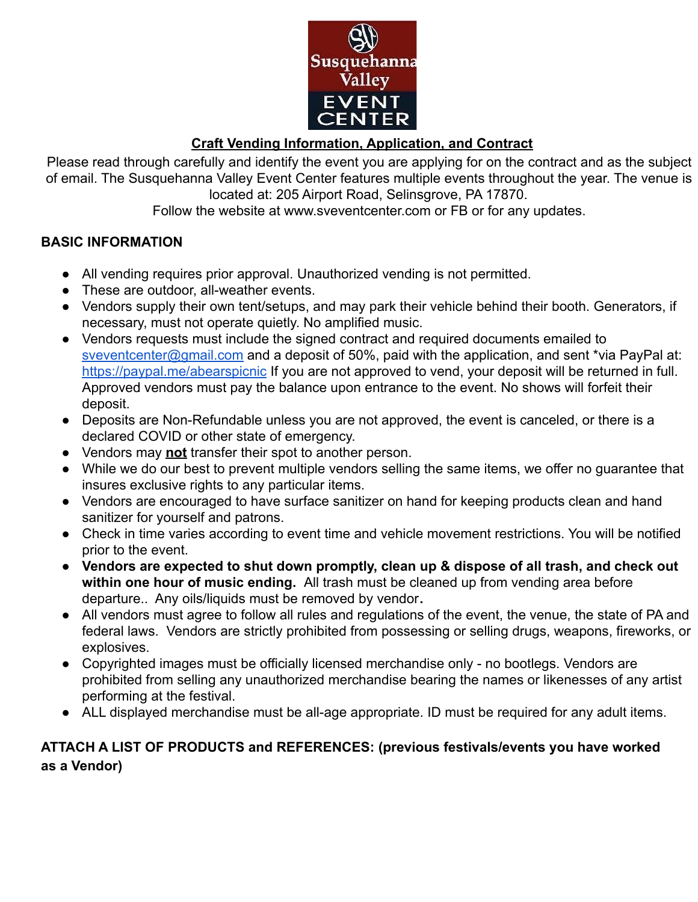

# **Craft Vending Information, Application, and Contract**

Please read through carefully and identify the event you are applying for on the contract and as the subject of email. The Susquehanna Valley Event Center features multiple events throughout the year. The venue is located at: 205 Airport Road, Selinsgrove, PA 17870.

Follow the website at www.sveventcenter.com or FB or for any updates.

## **BASIC INFORMATION**

- All vending requires prior approval. Unauthorized vending is not permitted.
- These are outdoor, all-weather events.
- Vendors supply their own tent/setups, and may park their vehicle behind their booth. Generators, if necessary, must not operate quietly. No amplified music.
- Vendors requests must include the signed contract and required documents emailed to [sveventcenter@gmail.com](mailto:sveventcenter@gmail.com) and a deposit of 50%, paid with the application, and sent \*via PayPal at: <https://paypal.me/abearspicnic> If you are not approved to vend, your deposit will be returned in full. Approved vendors must pay the balance upon entrance to the event. No shows will forfeit their deposit.
- Deposits are Non-Refundable unless you are not approved, the event is canceled, or there is a declared COVID or other state of emergency.
- Vendors may **not** transfer their spot to another person.
- While we do our best to prevent multiple vendors selling the same items, we offer no guarantee that insures exclusive rights to any particular items.
- Vendors are encouraged to have surface sanitizer on hand for keeping products clean and hand sanitizer for yourself and patrons.
- Check in time varies according to event time and vehicle movement restrictions. You will be notified prior to the event.
- **Vendors are expected to shut down promptly, clean up & dispose of all trash, and check out within one hour of music ending.** All trash must be cleaned up from vending area before departure.. Any oils/liquids must be removed by vendor**.**
- All vendors must agree to follow all rules and regulations of the event, the venue, the state of PA and federal laws. Vendors are strictly prohibited from possessing or selling drugs, weapons, fireworks, or explosives.
- Copyrighted images must be officially licensed merchandise only no bootlegs. Vendors are prohibited from selling any unauthorized merchandise bearing the names or likenesses of any artist performing at the festival.
- ALL displayed merchandise must be all-age appropriate. ID must be required for any adult items.

## **ATTACH A LIST OF PRODUCTS and REFERENCES: (previous festivals/events you have worked as a Vendor)**